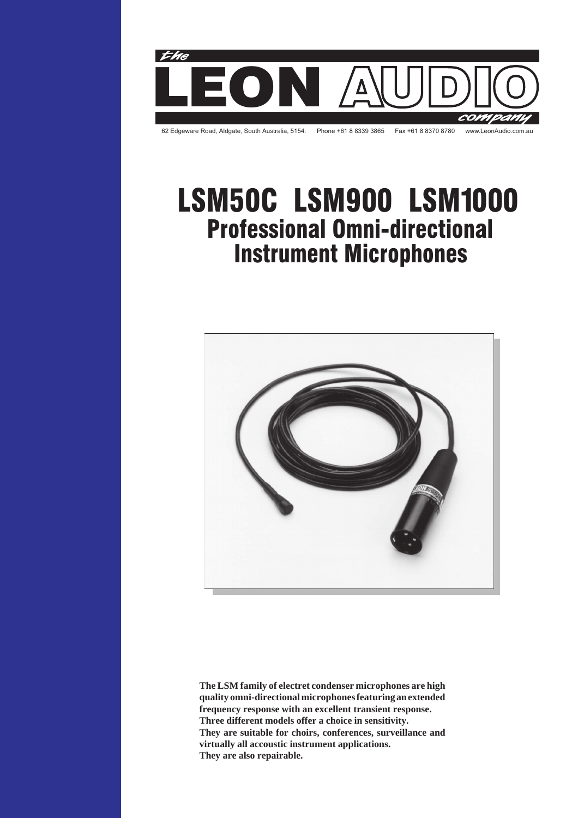

# Professional Omni-directional Instrument Microphones LSM50C LSM900 LSM1000



**The LSM family of electret condenser microphones are high quality omni-directional microphones featuring an extended frequency response with an excellent transient response. Three different models offer a choice in sensitivity. They are suitable for choirs, conferences, surveillance and virtually all accoustic instrument applications. They are also repairable.**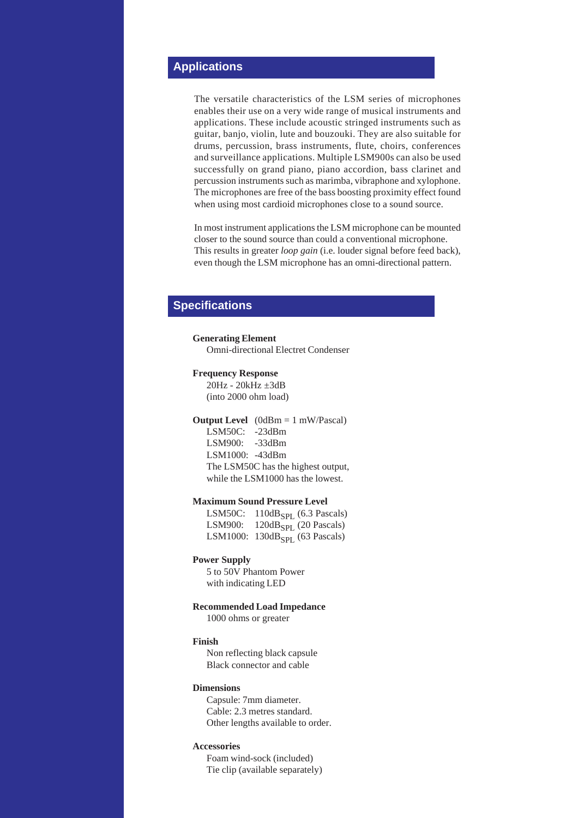## **Applications**

The versatile characteristics of the LSM series of microphones enables their use on a very wide range of musical instruments and applications. These include acoustic stringed instruments such as guitar, banjo, violin, lute and bouzouki. They are also suitable for drums, percussion, brass instruments, flute, choirs, conferences and surveillance applications. Multiple LSM900s can also be used successfully on grand piano, piano accordion, bass clarinet and percussion instruments such as marimba, vibraphone and xylophone. The microphones are free of the bass boosting proximity effect found when using most cardioid microphones close to a sound source.

In most instrument applications the LSM microphone can be mounted closer to the sound source than could a conventional microphone. This results in greater *loop gain* (i.e. louder signal before feed back), even though the LSM microphone has an omni-directional pattern.

### **Specifications**

**Generating Element** Omni-directional Electret Condenser

#### **Frequency Response**

20Hz - 20kHz ±3dB (into 2000 ohm load)

#### **Output Level** (0dBm = 1 mW/Pascal)

LSM50C: -23dBm LSM900: -33dBm LSM1000: -43dBm The LSM50C has the highest output, while the LSM1000 has the lowest.

#### **Maximum Sound Pressure Level**

LSM50C:  $110dB_{SPL}$  (6.3 Pascals) LSM900:  $120dB_{\text{SPI}}$  (20 Pascals) LSM1000:  $130dB<sub>SPI</sub>$  (63 Pascals)

#### **Power Supply**

5 to 50V Phantom Power with indicating LED

#### **Recommended Load Impedance**

1000 ohms or greater

#### **Finish**

Non reflecting black capsule Black connector and cable

#### **Dimensions**

Capsule: 7mm diameter. Cable: 2.3 metres standard. Other lengths available to order.

#### **Accessories**

Foam wind-sock (included) Tie clip (available separately)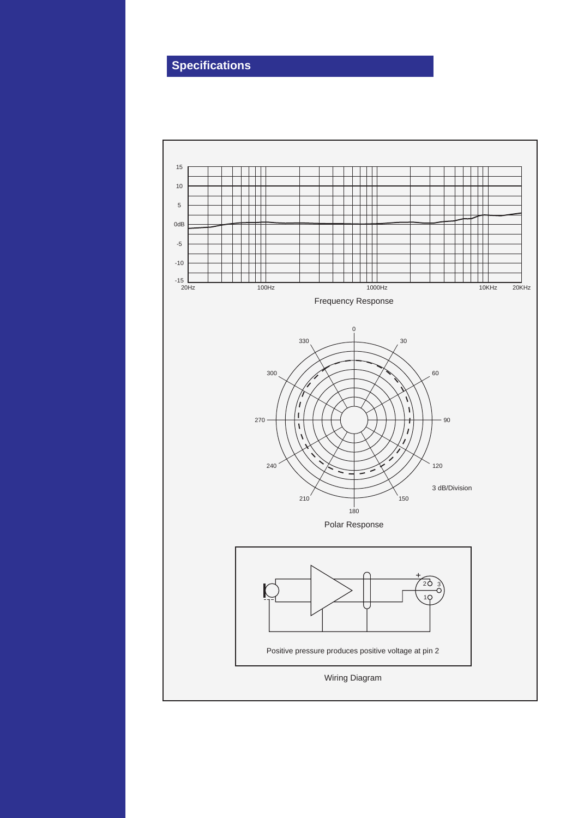# **Specifications**